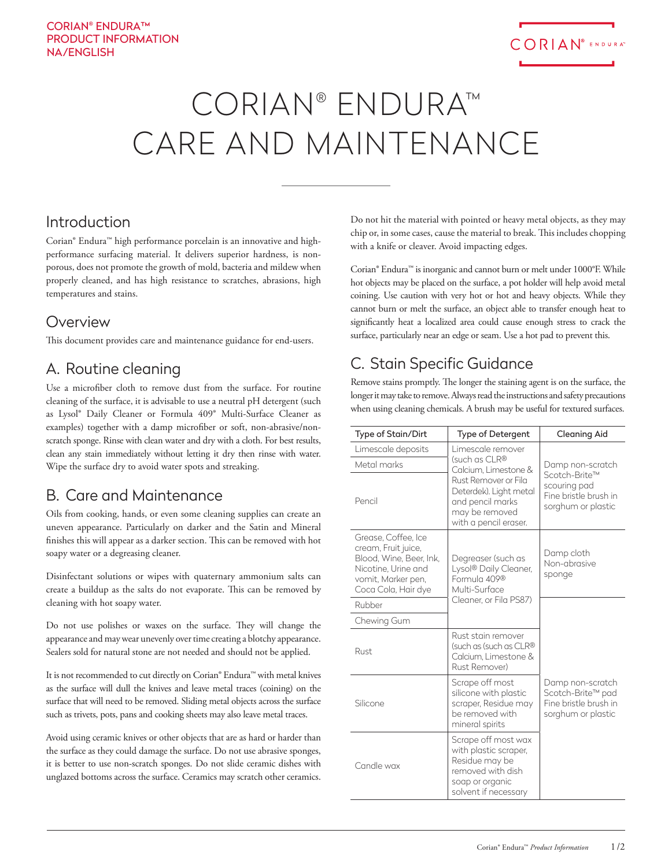# CORIAN® ENDURA™ CARE AND MAINTENANCE

### Introduction

Corian® Endura™ high performance porcelain is an innovative and highperformance surfacing material. It delivers superior hardness, is nonporous, does not promote the growth of mold, bacteria and mildew when properly cleaned, and has high resistance to scratches, abrasions, high temperatures and stains.

#### **Overview**

This document provides care and maintenance guidance for end-users.

#### A. Routine cleaning

Use a microfiber cloth to remove dust from the surface. For routine cleaning of the surface, it is advisable to use a neutral pH detergent (such as Lysol® Daily Cleaner or Formula 409® Multi-Surface Cleaner as examples) together with a damp microfiber or soft, non-abrasive/nonscratch sponge. Rinse with clean water and dry with a cloth. For best results, clean any stain immediately without letting it dry then rinse with water. Wipe the surface dry to avoid water spots and streaking.

#### B. Care and Maintenance

Oils from cooking, hands, or even some cleaning supplies can create an uneven appearance. Particularly on darker and the Satin and Mineral finishes this will appear as a darker section. This can be removed with hot soapy water or a degreasing cleaner.

Disinfectant solutions or wipes with quaternary ammonium salts can create a buildup as the salts do not evaporate. This can be removed by cleaning with hot soapy water.

Do not use polishes or waxes on the surface. They will change the appearance and may wear unevenly over time creating a blotchy appearance. Sealers sold for natural stone are not needed and should not be applied.

It is not recommended to cut directly on Corian® Endura™ with metal knives as the surface will dull the knives and leave metal traces (coining) on the surface that will need to be removed. Sliding metal objects across the surface such as trivets, pots, pans and cooking sheets may also leave metal traces.

Avoid using ceramic knives or other objects that are as hard or harder than the surface as they could damage the surface. Do not use abrasive sponges, it is better to use non-scratch sponges. Do not slide ceramic dishes with unglazed bottoms across the surface. Ceramics may scratch other ceramics.

Do not hit the material with pointed or heavy metal objects, as they may chip or, in some cases, cause the material to break. This includes chopping with a knife or cleaver. Avoid impacting edges.

Corian® Endura™ is inorganic and cannot burn or melt under 1000°F. While hot objects may be placed on the surface, a pot holder will help avoid metal coining. Use caution with very hot or hot and heavy objects. While they cannot burn or melt the surface, an object able to transfer enough heat to significantly heat a localized area could cause enough stress to crack the surface, particularly near an edge or seam. Use a hot pad to prevent this.

## C. Stain Specific Guidance

Remove stains promptly. The longer the staining agent is on the surface, the longer it may take to remove. Always read the instructions and safety precautions when using cleaning chemicals. A brush may be useful for textured surfaces.

| Type of Stain/Dirt                                                                                                                        | <b>Type of Detergent</b>                                                                                                                                                    | <b>Cleaning Aid</b>                                                                              |
|-------------------------------------------------------------------------------------------------------------------------------------------|-----------------------------------------------------------------------------------------------------------------------------------------------------------------------------|--------------------------------------------------------------------------------------------------|
| Limescale deposits                                                                                                                        | Limescale remover<br>(such as CLR®<br>Calcium, Limestone &<br>Rust Remover or Fila<br>Deterdek). Light metal<br>and pencil marks<br>may be removed<br>with a pencil eraser. | Damp non-scratch<br>Scotch-Brite™<br>scouring pad<br>Fine bristle brush in<br>sorghum or plastic |
| Metal marks                                                                                                                               |                                                                                                                                                                             |                                                                                                  |
| Pencil                                                                                                                                    |                                                                                                                                                                             |                                                                                                  |
| Grease, Coffee, Ice<br>cream, Fruit juice,<br>Blood, Wine, Beer, Ink,<br>Nicotine, Urine and<br>vomit, Marker pen,<br>Coca Cola, Hair dye | Degreaser (such as<br>Lysol® Daily Cleaner,<br>Formula 409®<br>Multi-Surface<br>Cleaner, or Fila PS87)                                                                      | Damp cloth<br>Non-abrasive<br>sponge                                                             |
| Rubber                                                                                                                                    |                                                                                                                                                                             |                                                                                                  |
| Chewing Gum                                                                                                                               |                                                                                                                                                                             |                                                                                                  |
| Rust                                                                                                                                      | Rust stain remover<br>(such as (such as CLR®<br>Calcium, Limestone &<br>Rust Remover)                                                                                       |                                                                                                  |
| Silicone                                                                                                                                  | Scrape off most<br>silicone with plastic<br>scraper, Residue may<br>be removed with<br>mineral spirits                                                                      | Damp non-scratch<br>Scotch-Brite™ pad<br>Fine bristle brush in<br>sorghum or plastic             |
| Candle wax                                                                                                                                | Scrape off most wax<br>with plastic scraper,<br>Residue may be<br>removed with dish<br>soap or organic<br>solvent if necessary                                              |                                                                                                  |